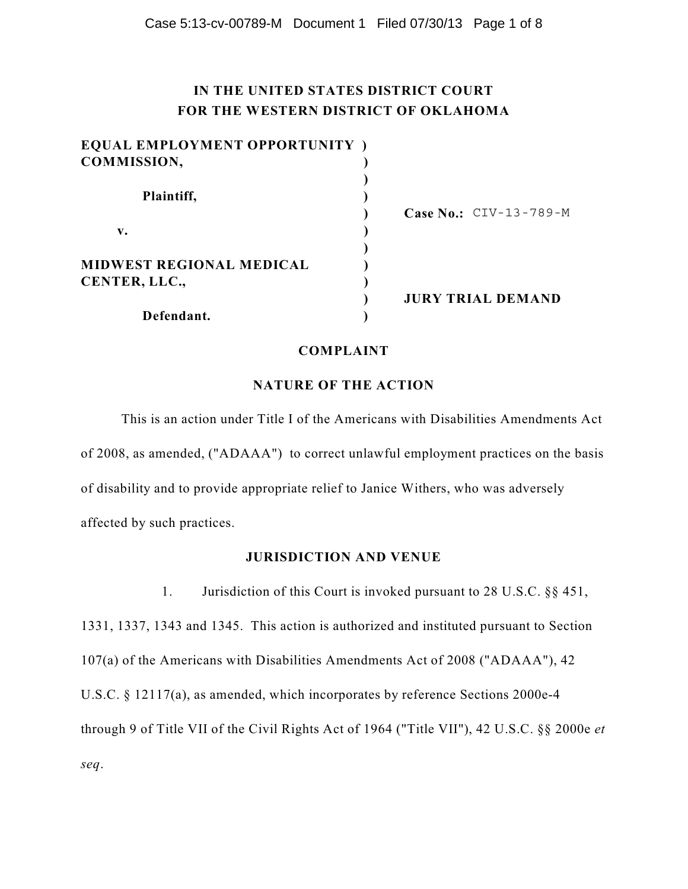# **IN THE UNITED STATES DISTRICT COURT FOR THE WESTERN DISTRICT OF OKLAHOMA**

| EQUAL EMPLOYMENT OPPORTUNITY)   |                                 |
|---------------------------------|---------------------------------|
| COMMISSION,                     |                                 |
| Plaintiff,                      |                                 |
|                                 | <b>Case No.:</b> $CIV-13-789-M$ |
| v.                              |                                 |
| <b>MIDWEST REGIONAL MEDICAL</b> |                                 |
| CENTER, LLC.,                   |                                 |
|                                 | <b>JURY TRIAL DEMAND</b>        |
| Defendant.                      |                                 |

#### **COMPLAINT**

## **NATURE OF THE ACTION**

This is an action under Title I of the Americans with Disabilities Amendments Act of 2008, as amended, ("ADAAA") to correct unlawful employment practices on the basis of disability and to provide appropriate relief to Janice Withers, who was adversely affected by such practices.

## **JURISDICTION AND VENUE**

1. Jurisdiction of this Court is invoked pursuant to 28 U.S.C. §§ 451, 1331, 1337, 1343 and 1345. This action is authorized and instituted pursuant to Section 107(a) of the Americans with Disabilities Amendments Act of 2008 ("ADAAA"), 42 U.S.C. § 12117(a), as amended, which incorporates by reference Sections 2000e-4 through 9 of Title VII of the Civil Rights Act of 1964 ("Title VII"), 42 U.S.C. §§ 2000e *et seq*.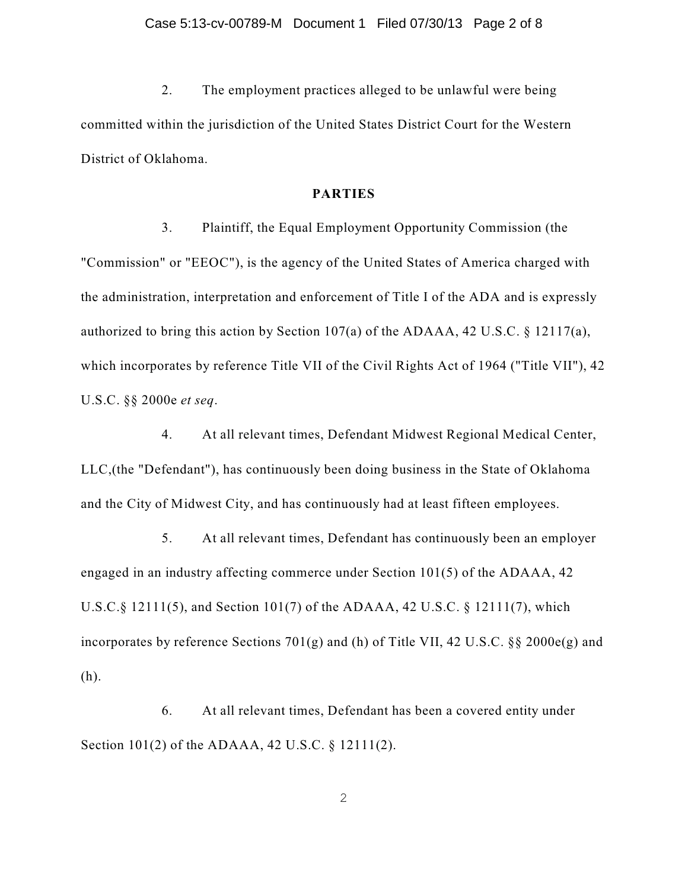2. The employment practices alleged to be unlawful were being committed within the jurisdiction of the United States District Court for the Western District of Oklahoma.

### **PARTIES**

3. Plaintiff, the Equal Employment Opportunity Commission (the "Commission" or "EEOC"), is the agency of the United States of America charged with the administration, interpretation and enforcement of Title I of the ADA and is expressly authorized to bring this action by Section 107(a) of the ADAAA, 42 U.S.C. § 12117(a), which incorporates by reference Title VII of the Civil Rights Act of 1964 ("Title VII"), 42 U.S.C. §§ 2000e *et seq*.

4. At all relevant times, Defendant Midwest Regional Medical Center, LLC,(the "Defendant"), has continuously been doing business in the State of Oklahoma and the City of Midwest City, and has continuously had at least fifteen employees.

5. At all relevant times, Defendant has continuously been an employer engaged in an industry affecting commerce under Section 101(5) of the ADAAA, 42 U.S.C.§ 12111(5), and Section 101(7) of the ADAAA, 42 U.S.C. § 12111(7), which incorporates by reference Sections 701(g) and (h) of Title VII, 42 U.S.C. §§ 2000e(g) and (h).

6. At all relevant times, Defendant has been a covered entity under Section 101(2) of the ADAAA, 42 U.S.C. § 12111(2).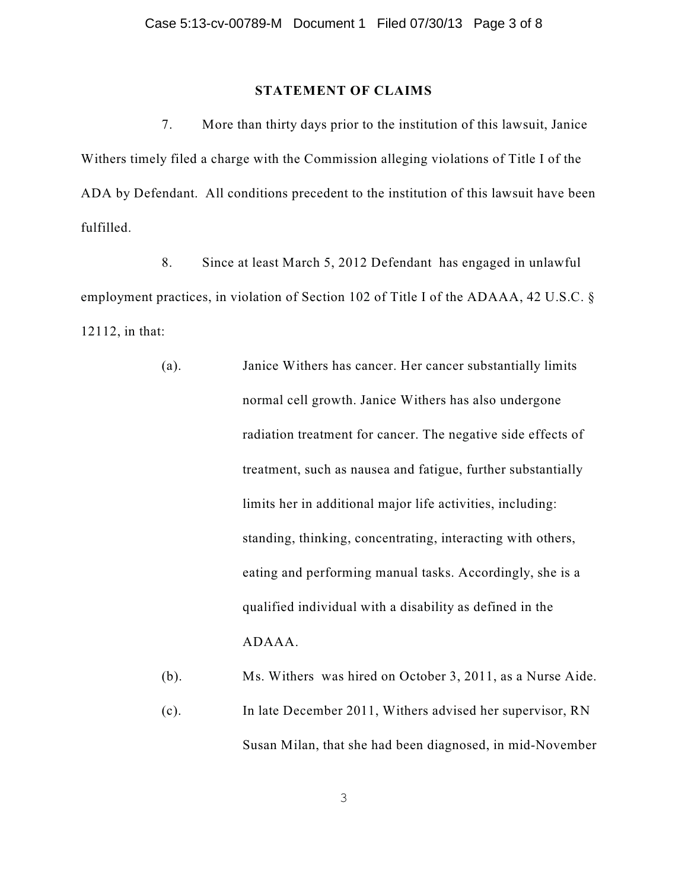#### **STATEMENT OF CLAIMS**

7. More than thirty days prior to the institution of this lawsuit, Janice Withers timely filed a charge with the Commission alleging violations of Title I of the ADA by Defendant. All conditions precedent to the institution of this lawsuit have been fulfilled.

8. Since at least March 5, 2012 Defendant has engaged in unlawful employment practices, in violation of Section 102 of Title I of the ADAAA, 42 U.S.C. § 12112, in that:

> (a). Janice Withers has cancer. Her cancer substantially limits normal cell growth. Janice Withers has also undergone radiation treatment for cancer. The negative side effects of treatment, such as nausea and fatigue, further substantially limits her in additional major life activities, including: standing, thinking, concentrating, interacting with others, eating and performing manual tasks. Accordingly, she is a qualified individual with a disability as defined in the ADAAA.

(b). Ms. Withers was hired on October 3, 2011, as a Nurse Aide.

(c). In late December 2011, Withers advised her supervisor, RN Susan Milan, that she had been diagnosed, in mid-November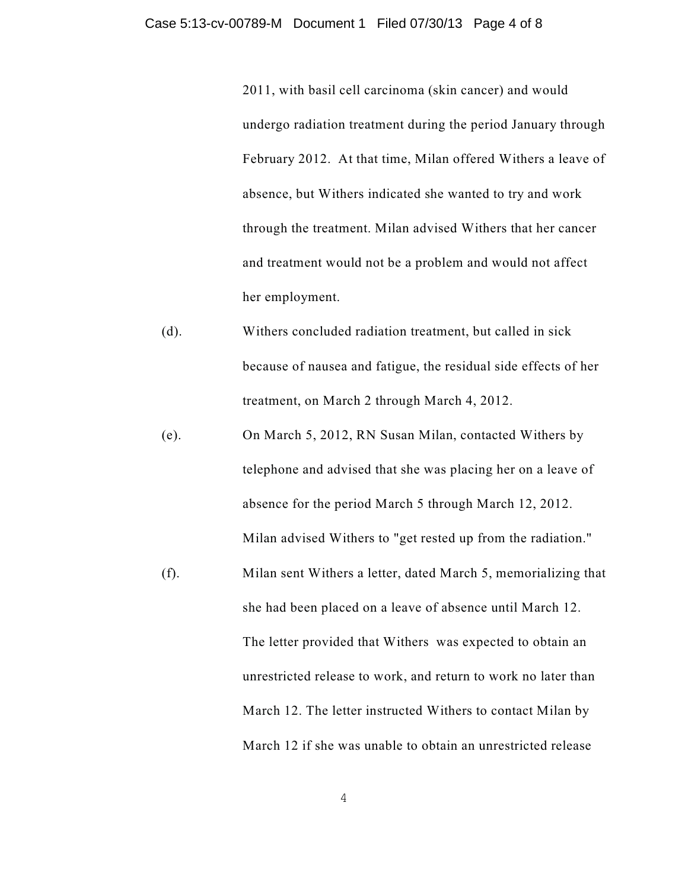2011, with basil cell carcinoma (skin cancer) and would undergo radiation treatment during the period January through February 2012. At that time, Milan offered Withers a leave of absence, but Withers indicated she wanted to try and work through the treatment. Milan advised Withers that her cancer and treatment would not be a problem and would not affect her employment.

- (d). Withers concluded radiation treatment, but called in sick because of nausea and fatigue, the residual side effects of her treatment, on March 2 through March 4, 2012.
- (e). On March 5, 2012, RN Susan Milan, contacted Withers by telephone and advised that she was placing her on a leave of absence for the period March 5 through March 12, 2012. Milan advised Withers to "get rested up from the radiation."
- (f). Milan sent Withers a letter, dated March 5, memorializing that she had been placed on a leave of absence until March 12. The letter provided that Withers was expected to obtain an unrestricted release to work, and return to work no later than March 12. The letter instructed Withers to contact Milan by March 12 if she was unable to obtain an unrestricted release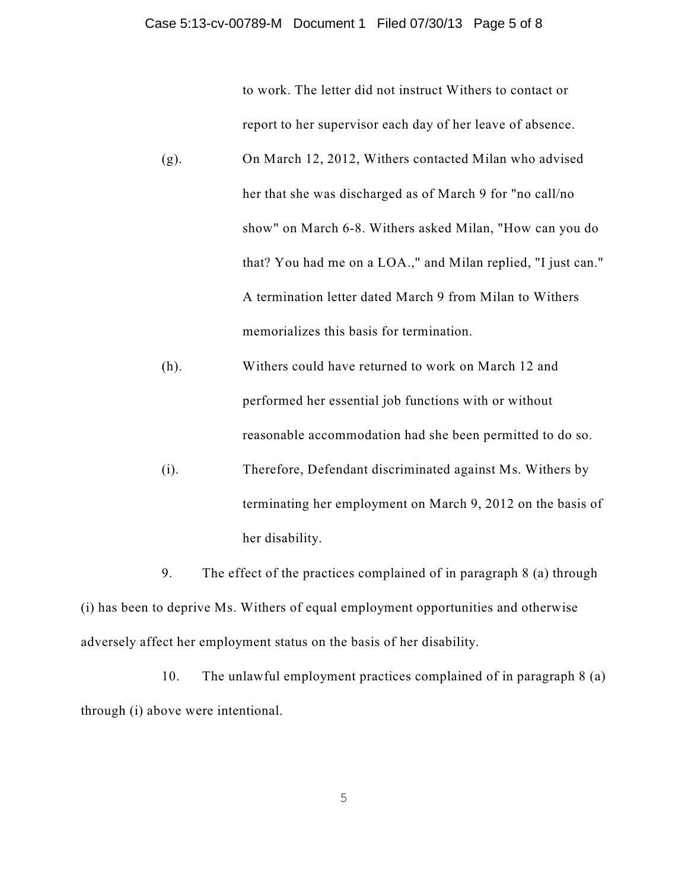to work. The letter did not instruct Withers to contact or

report to her supervisor each day of her leave of absence.

- (g). On March 12, 2012, Withers contacted Milan who advised her that she was discharged as of March 9 for "no call/no show" on March 6-8. Withers asked Milan, "How can you do that? You had me on a LOA.," and Milan replied, "I just can." A termination letter dated March 9 from Milan to Withers memorializes this basis for termination.
- (h). Withers could have returned to work on March 12 and performed her essential job functions with or without reasonable accommodation had she been permitted to do so.
- (i). Therefore, Defendant discriminated against Ms. Withers by terminating her employment on March 9, 2012 on the basis of her disability.

9. The effect of the practices complained of in paragraph 8 (a) through (i) has been to deprive Ms. Withers of equal employment opportunities and otherwise adversely affect her employment status on the basis of her disability.

10. The unlawful employment practices complained of in paragraph 8 (a) through (i) above were intentional.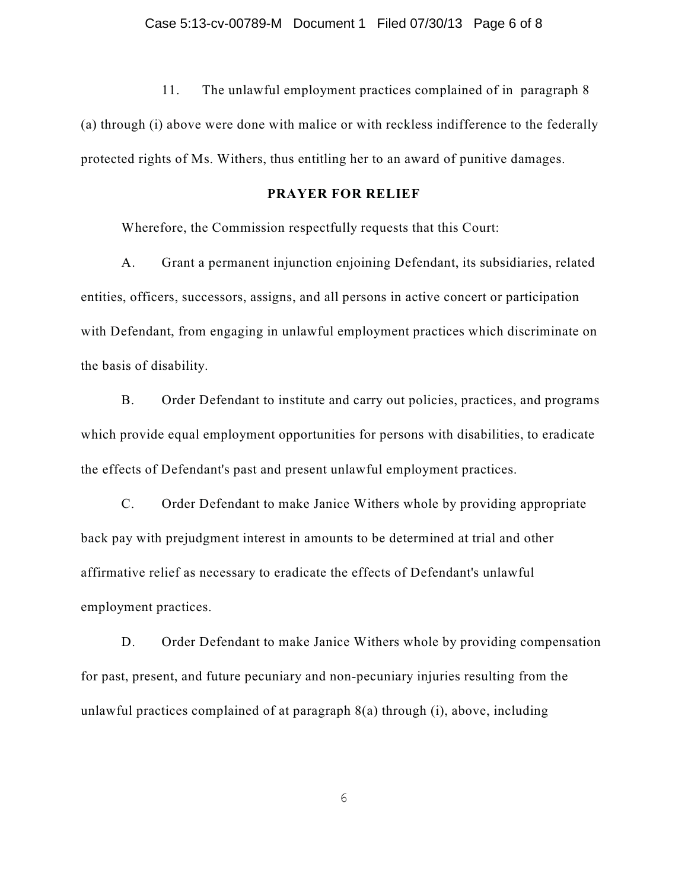11. The unlawful employment practices complained of in paragraph 8 (a) through (i) above were done with malice or with reckless indifference to the federally protected rights of Ms. Withers, thus entitling her to an award of punitive damages.

## **PRAYER FOR RELIEF**

Wherefore, the Commission respectfully requests that this Court:

A. Grant a permanent injunction enjoining Defendant, its subsidiaries, related entities, officers, successors, assigns, and all persons in active concert or participation with Defendant, from engaging in unlawful employment practices which discriminate on the basis of disability.

B. Order Defendant to institute and carry out policies, practices, and programs which provide equal employment opportunities for persons with disabilities, to eradicate the effects of Defendant's past and present unlawful employment practices.

C. Order Defendant to make Janice Withers whole by providing appropriate back pay with prejudgment interest in amounts to be determined at trial and other affirmative relief as necessary to eradicate the effects of Defendant's unlawful employment practices.

D. Order Defendant to make Janice Withers whole by providing compensation for past, present, and future pecuniary and non-pecuniary injuries resulting from the unlawful practices complained of at paragraph 8(a) through (i), above, including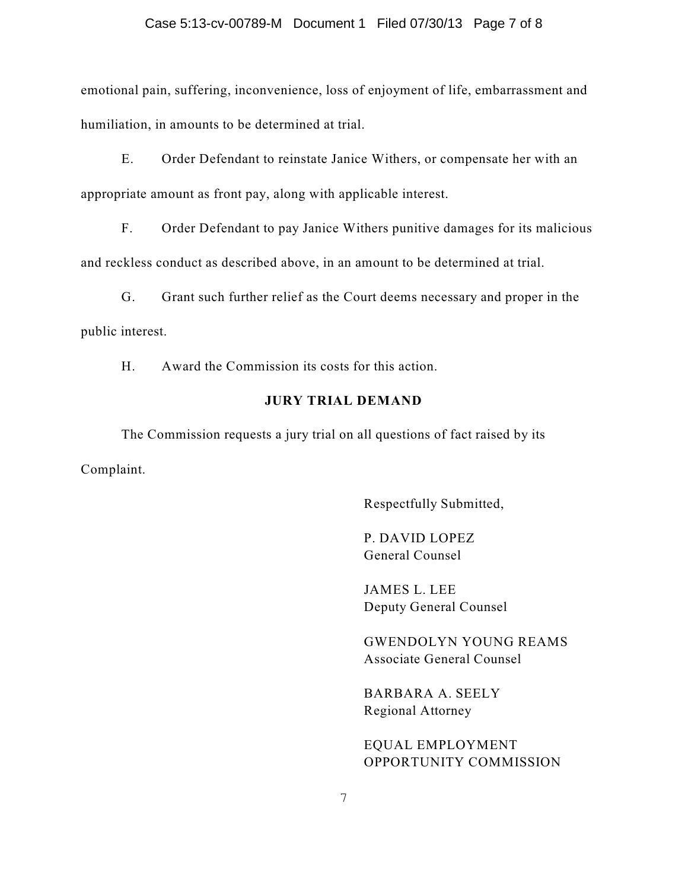#### Case 5:13-cv-00789-M Document 1 Filed 07/30/13 Page 7 of 8

emotional pain, suffering, inconvenience, loss of enjoyment of life, embarrassment and humiliation, in amounts to be determined at trial.

E. Order Defendant to reinstate Janice Withers, or compensate her with an appropriate amount as front pay, along with applicable interest.

F. Order Defendant to pay Janice Withers punitive damages for its malicious and reckless conduct as described above, in an amount to be determined at trial.

G. Grant such further relief as the Court deems necessary and proper in the public interest.

H. Award the Commission its costs for this action.

#### **JURY TRIAL DEMAND**

The Commission requests a jury trial on all questions of fact raised by its Complaint.

Respectfully Submitted,

P. DAVID LOPEZ General Counsel

JAMES L. LEE Deputy General Counsel

GWENDOLYN YOUNG REAMS Associate General Counsel

BARBARA A. SEELY Regional Attorney

EQUAL EMPLOYMENT OPPORTUNITY COMMISSION